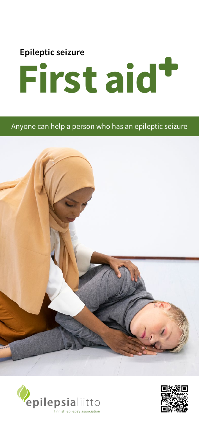

## Anyone can help a person who has an epileptic seizure





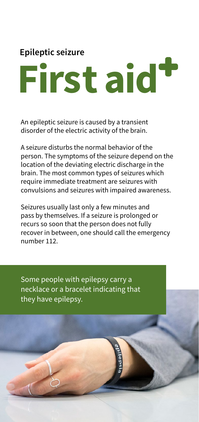## **Epileptic seizure First aid**

An epileptic seizure is caused by a transient disorder of the electric activity of the brain.

A seizure disturbs the normal behavior of the person. The symptoms of the seizure depend on the location of the deviating electric discharge in the brain. The most common types of seizures which require immediate treatment are seizures with convulsions and seizures with impaired awareness.

Seizures usually last only a few minutes and pass by themselves. If a seizure is prolonged or recurs so soon that the person does not fully recover in between, one should call the emergency number 112.

Some people with epilepsy carry a necklace or a bracelet indicating that they have epilepsy.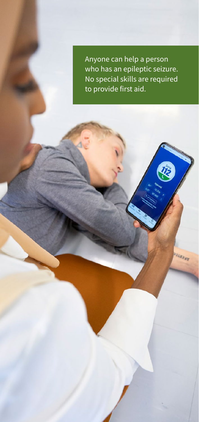Anyone can help a person who has an epileptic seizure. No special skills are required to provide first aid.

LEZEY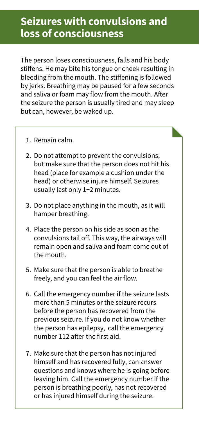## **Seizures with convulsions and loss of consciousness**

The person loses consciousness, falls and his body stiffens. He may bite his tongue or cheek resulting in bleeding from the mouth. The stiffening is followed by jerks. Breathing may be paused for a few seconds and saliva or foam may flow from the mouth. After the seizure the person is usually tired and may sleep but can, however, be waked up.

- 1. Remain calm.
- 2. Do not attempt to prevent the convulsions, but make sure that the person does not hit his head (place for example a cushion under the head) or otherwise injure himself. Seizures usually last only 1−2 minutes.
- 3. Do not place anything in the mouth, as it will hamper breathing.
- 4. Place the person on his side as soon as the convulsions tail off. This way, the airways will remain open and saliva and foam come out of the mouth.
- 5. Make sure that the person is able to breathe freely, and you can feel the air flow.
- 6. Call the emergency number if the seizure lasts more than 5 minutes or the seizure recurs before the person has recovered from the previous seizure. If you do not know whether the person has epilepsy, call the emergency number 112 after the first aid.
- 7. Make sure that the person has not injured himself and has recovered fully, can answer questions and knows where he is going before leaving him. Call the emergency number if the person is breathing poorly, has not recovered or has injured himself during the seizure.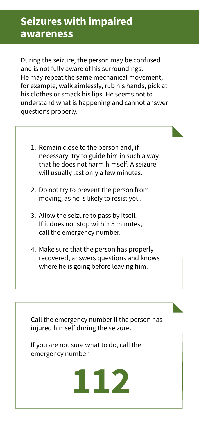During the seizure, the person may be confused and is not fully aware of his surroundings. He may repeat the same mechanical movement, for example, walk aimlessly, rub his hands, pick at his clothes or smack his lips. He seems not to understand what is happening and cannot answer questions properly.

- 1. Remain close to the person and, if necessary, try to guide him in such a way that he does not harm himself. A seizure will usually last only a few minutes.
- 2. Do not try to prevent the person from moving, as he is likely to resist you.
- 3. Allow the seizure to pass by itself. If it does not stop within 5 minutes, call the emergency number.
- 4. Make sure that the person has properly recovered, answers questions and knows where he is going before leaving him.

Call the emergency number if the person has injured himself during the seizure.

If you are not sure what to do, call the emergency number

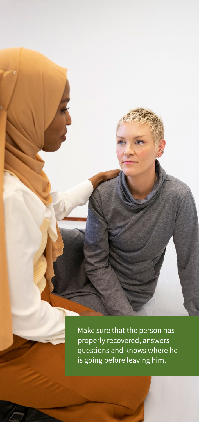Make sure that the person has properly recovered, answers questions and knows where he is going before leaving him.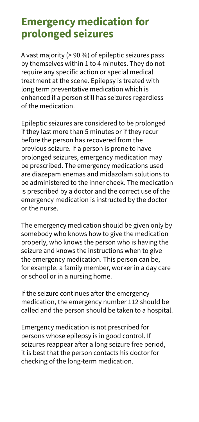## **Emergency medication for prolonged seizures**

A vast majority (> 90 %) of epileptic seizures pass by themselves within 1 to 4 minutes. They do not require any specific action or special medical treatment at the scene. Epilepsy is treated with long term preventative medication which is enhanced if a person still has seizures regardless of the medication.

Epileptic seizures are considered to be prolonged if they last more than 5 minutes or if they recur before the person has recovered from the previous seizure. If a person is prone to have prolonged seizures, emergency medication may be prescribed. The emergency medications used are diazepam enemas and midazolam solutions to be administered to the inner cheek. The medication is prescribed by a doctor and the correct use of the emergency medication is instructed by the doctor or the nurse.

The emergency medication should be given only by somebody who knows how to give the medication properly, who knows the person who is having the seizure and knows the instructions when to give the emergency medication. This person can be, for example, a family member, worker in a day care or school or in a nursing home.

If the seizure continues after the emergency medication, the emergency number 112 should be called and the person should be taken to a hospital.

Emergency medication is not prescribed for persons whose epilepsy is in good control. If seizures reappear after a long seizure free period, it is best that the person contacts his doctor for checking of the long-term medication.